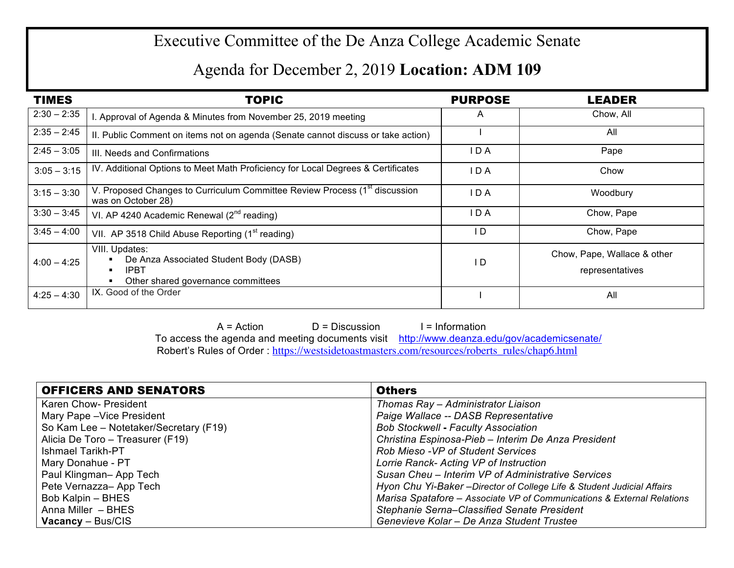## Executive Committee of the De Anza College Academic Senate

## Agenda for December 2, 2019 **Location: ADM 109**

| <b>TIMES</b>  | <b>TOPIC</b>                                                                                                  | <b>PURPOSE</b> | <b>LEADER</b>                                  |
|---------------|---------------------------------------------------------------------------------------------------------------|----------------|------------------------------------------------|
| $2:30 - 2:35$ | I. Approval of Agenda & Minutes from November 25, 2019 meeting                                                | A              | Chow, All                                      |
| $2:35 - 2:45$ | II. Public Comment on items not on agenda (Senate cannot discuss or take action)                              |                | All                                            |
| $2:45 - 3:05$ | III. Needs and Confirmations                                                                                  | IDA            | Pape                                           |
| $3:05 - 3:15$ | IV. Additional Options to Meet Math Proficiency for Local Degrees & Certificates                              | IDA            | Chow                                           |
| $3:15 - 3:30$ | V. Proposed Changes to Curriculum Committee Review Process (1 <sup>st</sup> discussion<br>was on October 28)  | IDA            | Woodbury                                       |
| $3:30 - 3:45$ | VI. AP 4240 Academic Renewal $(2^{nd}$ reading)                                                               | IDA            | Chow, Pape                                     |
| $3:45 - 4:00$ | VII. AP 3518 Child Abuse Reporting (1 <sup>st</sup> reading)                                                  | I D            | Chow, Pape                                     |
| $4:00 - 4:25$ | VIII. Updates:<br>De Anza Associated Student Body (DASB)<br><b>IPBT</b><br>Other shared governance committees | I D            | Chow, Pape, Wallace & other<br>representatives |
| $4:25 - 4:30$ | IX. Good of the Order                                                                                         |                | All                                            |

 $A = Action$   $D = Discussion$  I = Information To access the agenda and meeting documents visit http://www.deanza.edu/gov/academicsenate/ Robert's Rules of Order : https://westsidetoastmasters.com/resources/roberts\_rules/chap6.html

| <b>OFFICERS AND SENATORS</b>           | <b>Others</b>                                                           |
|----------------------------------------|-------------------------------------------------------------------------|
| Karen Chow- President                  | Thomas Ray - Administrator Liaison                                      |
| Mary Pape - Vice President             | Paige Wallace -- DASB Representative                                    |
| So Kam Lee - Notetaker/Secretary (F19) | <b>Bob Stockwell - Faculty Association</b>                              |
| Alicia De Toro – Treasurer (F19)       | Christina Espinosa-Pieb - Interim De Anza President                     |
| l Ishmael Tarikh-PT                    | Rob Mieso - VP of Student Services                                      |
| Mary Donahue - PT                      | Lorrie Ranck- Acting VP of Instruction                                  |
| Paul Klingman- App Tech                | Susan Cheu - Interim VP of Administrative Services                      |
| Pete Vernazza- App Tech                | Hyon Chu Yi-Baker - Director of College Life & Student Judicial Affairs |
| Bob Kalpin - BHES                      | Marisa Spatafore - Associate VP of Communications & External Relations  |
| Anna Miller - BHES                     | Stephanie Serna-Classified Senate President                             |
| $\sqrt{2}$ Vacancy – Bus/CIS           | Genevieve Kolar - De Anza Student Trustee                               |